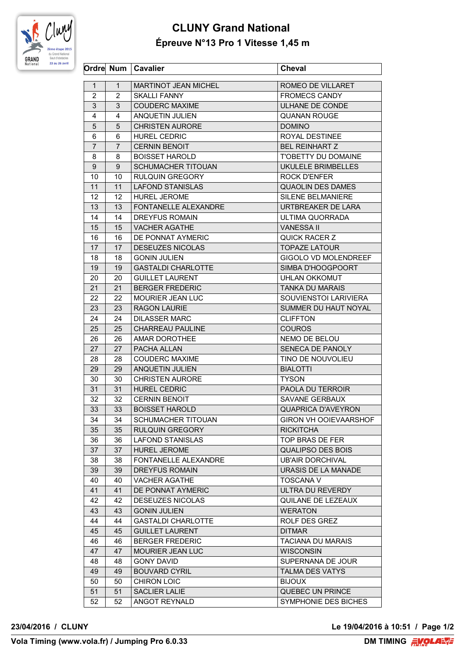

## **CLUNY Grand National Épreuve N°13 Pro 1 Vitesse 1,45 m**

|                 |                | Ordre Num   Cavalier        | <b>Cheval</b>                                   |
|-----------------|----------------|-----------------------------|-------------------------------------------------|
| $\mathbf{1}$    | $\mathbf{1}$   | <b>MARTINOT JEAN MICHEL</b> | ROMEO DE VILLARET                               |
| $\overline{2}$  | $\overline{2}$ | <b>SKALLI FANNY</b>         | <b>FROMECS CANDY</b>                            |
| 3               | 3              | <b>COUDERC MAXIME</b>       | ULHANE DE CONDE                                 |
| 4               | 4              | ANQUETIN JULIEN             | <b>QUANAN ROUGE</b>                             |
| 5               | 5              | <b>CHRISTEN AURORE</b>      | <b>DOMINO</b>                                   |
| 6               | 6              | <b>HUREL CEDRIC</b>         | ROYAL DESTINEE                                  |
| $\overline{7}$  | 7              | <b>CERNIN BENOIT</b>        | <b>BEL REINHART Z</b>                           |
| 8               | 8              | <b>BOISSET HAROLD</b>       | T'OBETTY DU DOMAINE                             |
| 9               | 9              | <b>SCHUMACHER TITOUAN</b>   | UKULELE BRIMBELLES                              |
| 10              | 10             | <b>RULQUIN GREGORY</b>      | <b>ROCK D'ENFER</b>                             |
| 11              | 11             | <b>LAFOND STANISLAS</b>     | <b>QUAOLIN DES DAMES</b>                        |
| 12 <sup>2</sup> | 12             | HUREL JEROME                | <b>SILENE BELMANIERE</b>                        |
| 13              | 13             | FONTANELLE ALEXANDRE        | URTBREAKER DE LARA                              |
| 14              | 14             | DREYFUS ROMAIN              | ULTIMA QUORRADA                                 |
| 15              | 15             | <b>VACHER AGATHE</b>        | <b>VANESSA II</b>                               |
| 16              | 16             | DE PONNAT AYMERIC           | <b>QUICK RACER Z</b>                            |
| 17              | 17             | <b>DESEUZES NICOLAS</b>     | <b>TOPAZE LATOUR</b>                            |
| 18              | 18             | <b>GONIN JULIEN</b>         | GIGOLO VD MOLENDREEF                            |
| 19              | 19             | <b>GASTALDI CHARLOTTE</b>   | SIMBA D'HOOGPOORT                               |
| 20              | 20             | <b>GUILLET LAURENT</b>      | UHLAN OKKOMUT                                   |
|                 |                |                             |                                                 |
| 21              | 21<br>22       | <b>BERGER FREDERIC</b>      | <b>TANKA DU MARAIS</b><br>SOUVIENSTOI LARIVIERA |
| 22              |                | MOURIER JEAN LUC            |                                                 |
| 23              | 23             | <b>RAGON LAURIE</b>         | SUMMER DU HAUT NOYAL                            |
| 24              | 24             | <b>DILASSER MARC</b>        | <b>CLIFFTON</b>                                 |
| 25              | 25             | <b>CHARREAU PAULINE</b>     | <b>COUROS</b>                                   |
| 26              | 26             | AMAR DOROTHEE               | NEMO DE BELOU                                   |
| 27              | 27             | PACHA ALLAN                 | SENECA DE PANOLY                                |
| 28              | 28             | <b>COUDERC MAXIME</b>       | TINO DE NOUVOLIEU                               |
| 29              | 29             | <b>ANQUETIN JULIEN</b>      | <b>BIALOTTI</b>                                 |
| 30              | 30             | <b>CHRISTEN AURORE</b>      | <b>TYSON</b>                                    |
| 31              | 31             | <b>HUREL CEDRIC</b>         | PAOLA DU TERROIR                                |
| 32              | 32             | <b>CERNIN BENOIT</b>        | <b>SAVANE GERBAUX</b>                           |
| 33              | 33             | <b>BOISSET HAROLD</b>       | <b>QUAPRICA D'AVEYRON</b>                       |
| 34              | 34             | SCHUMACHER TITOUAN          | GIRON VH OOIEVAARSHOF                           |
| 35              | 35             | <b>RULQUIN GREGORY</b>      | <b>RICKITCHA</b>                                |
| 36              | 36             | <b>LAFOND STANISLAS</b>     | TOP BRAS DE FER                                 |
| 37              | 37             | <b>HUREL JEROME</b>         | <b>QUALIPSO DES BOIS</b>                        |
| 38              | 38             | <b>FONTANELLE ALEXANDRE</b> | <b>UB'AIR DORCHIVAL</b>                         |
| 39              | 39             | <b>DREYFUS ROMAIN</b>       | URASIS DE LA MANADE                             |
| 40              | 40             | <b>VACHER AGATHE</b>        | <b>TOSCANA V</b>                                |
| 41              | 41             | DE PONNAT AYMERIC           | ULTRA DU REVERDY                                |
| 42              | 42             | <b>DESEUZES NICOLAS</b>     | QUILANE DE LEZEAUX                              |
| 43              | 43             | <b>GONIN JULIEN</b>         | <b>WERATON</b>                                  |
| 44              | 44             | <b>GASTALDI CHARLOTTE</b>   | ROLF DES GREZ                                   |
| 45              | 45             | <b>GUILLET LAURENT</b>      | <b>DITMAR</b>                                   |
| 46              | 46             | <b>BERGER FREDERIC</b>      | <b>TACIANA DU MARAIS</b>                        |
| 47              | 47             | <b>MOURIER JEAN LUC</b>     | <b>WISCONSIN</b>                                |
| 48              | 48             | <b>GONY DAVID</b>           | SUPERNANA DE JOUR                               |
| 49              | 49             | <b>BOUVARD CYRIL</b>        | <b>TALMA DES VATYS</b>                          |
| 50              | 50             | <b>CHIRON LOIC</b>          | <b>BIJOUX</b>                                   |
| 51              | 51             | <b>SACLIER LALIE</b>        | QUEBEC UN PRINCE                                |
| 52              | 52             | ANGOT REYNALD               | SYMPHONIE DES BICHES                            |

**23/04/2016 / CLUNY Le 19/04/2016 à 10:51 / Page 1/2**